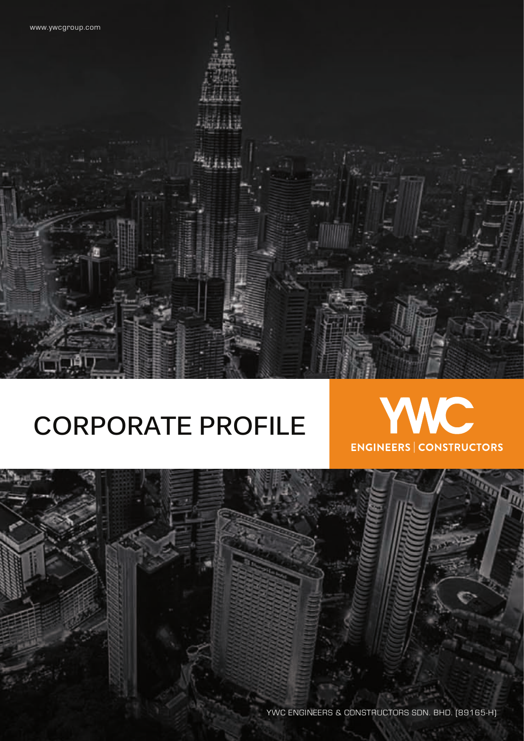## **CORPORATE PROFILE**



YWC ENGINEERS & CONSTRUCTORS SDN. BHD. (89165-H)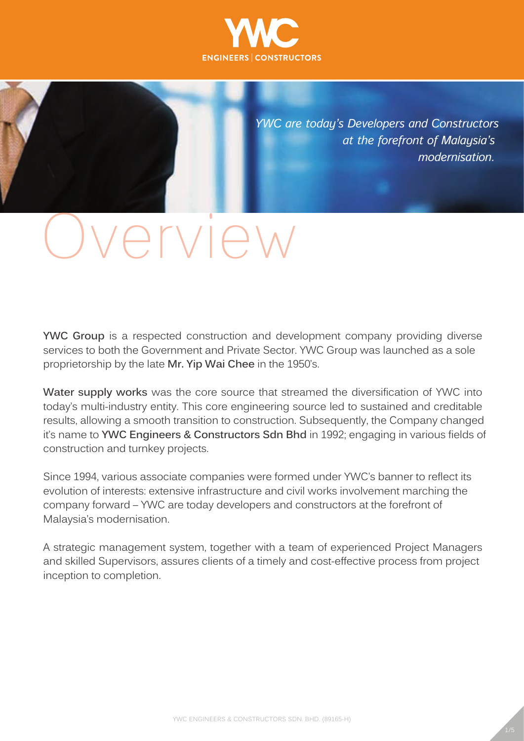

*YWC are today's Developers and Constructors at the forefront of Malaysia's modernisation.* 

# vervier

**YWC Group** is a respected construction and development company providing diverse services to both the Government and Private Sector. YWC Group was launched as a sole proprietorship by the late **Mr. Yip Wai Chee** in the 1950's.

**Water supply works** was the core source that streamed the diversification of YWC into today's multi-industry entity. This core engineering source led to sustained and creditable results, allowing a smooth transition to construction. Subsequently, the Company changed it's name to **YWC Engineers & Constructors Sdn Bhd** in 1992; engaging in various fields of construction and turnkey projects.

Since 1994, various associate companies were formed under YWC's banner to reflect its evolution of interests: extensive infrastructure and civil works involvement marching the company forward – YWC are today developers and constructors at the forefront of Malaysia's modernisation.

A strategic management system, together with a team of experienced Project Managers and skilled Supervisors, assures clients of a timely and cost-effective process from project inception to completion.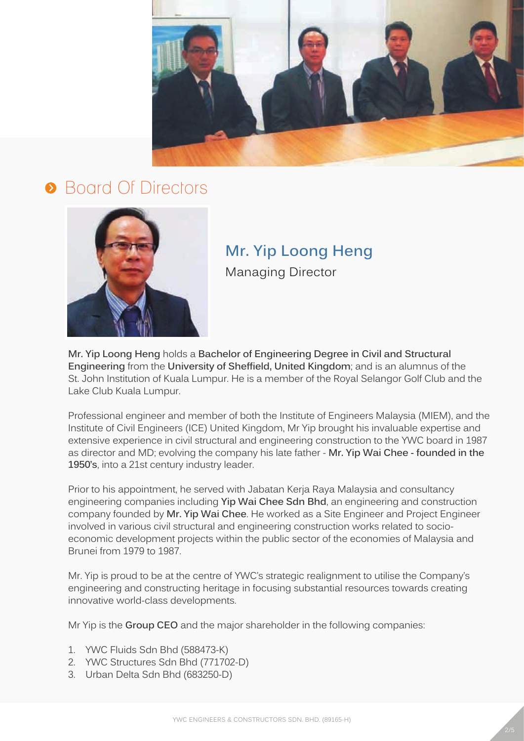

## **•** Board Of Directors



## **Mr. Yip Loong Heng**

Managing Director

**Mr. Yip Loong Heng** holds a **Bachelor of Engineering Degree in Civil and Structural Engineering** from the **University of Sheffield, United Kingdom**; and is an alumnus of the St. John Institution of Kuala Lumpur. He is a member of the Royal Selangor Golf Club and the Lake Club Kuala Lumpur.

Professional engineer and member of both the Institute of Engineers Malaysia (MIEM), and the Institute of Civil Engineers (ICE) United Kingdom, Mr Yip brought his invaluable expertise and extensive experience in civil structural and engineering construction to the YWC board in 1987 as director and MD; evolving the company his late father - **Mr. Yip Wai Chee - founded in the 1950's**, into a 21st century industry leader.

Prior to his appointment, he served with Jabatan Kerja Raya Malaysia and consultancy engineering companies including **Yip Wai Chee Sdn Bhd**, an engineering and construction company founded by **Mr. Yip Wai Chee**. He worked as a Site Engineer and Project Engineer involved in various civil structural and engineering construction works related to socioeconomic development projects within the public sector of the economies of Malaysia and Brunei from 1979 to 1987.

Mr. Yip is proud to be at the centre of YWC's strategic realignment to utilise the Company's engineering and constructing heritage in focusing substantial resources towards creating innovative world-class developments.

Mr Yip is the **Group CEO** and the major shareholder in the following companies:

- 1. YWC Fluids Sdn Bhd (588473-K)
- 2. YWC Structures Sdn Bhd (771702-D)
- 3. Urban Delta Sdn Bhd (683250-D)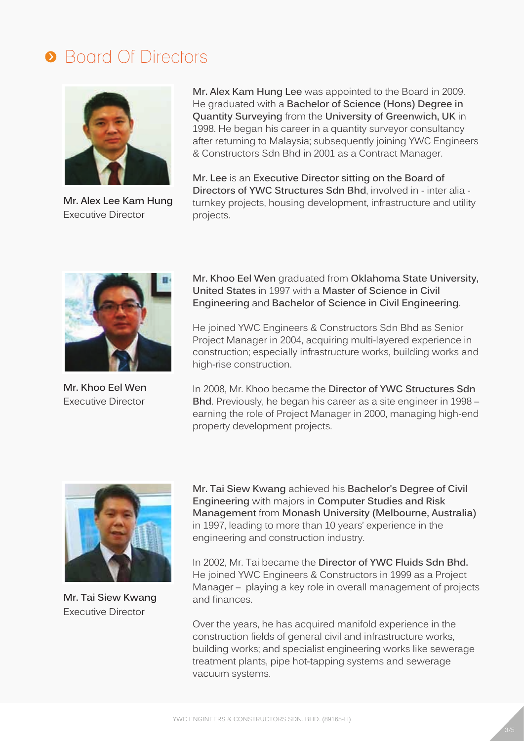## **• Board Of Directors**



**Mr. Alex Lee Kam Hung** Executive Director

**Mr. Alex Kam Hung Lee** was appointed to the Board in 2009. He graduated with a **Bachelor of Science (Hons) Degree in Quantity Surveying** from the **University of Greenwich, UK** in 1998. He began his career in a quantity surveyor consultancy after returning to Malaysia; subsequently joining YWC Engineers & Constructors Sdn Bhd in 2001 as a Contract Manager.

**Mr. Lee** is an **Executive Director sitting on the Board of Directors of YWC Structures Sdn Bhd**, involved in - inter alia turnkey projects, housing development, infrastructure and utility projects.



**Mr. Khoo Eel Wen** Executive Director

**Mr. Khoo Eel Wen** graduated from **Oklahoma State University, United States** in 1997 with a **Master of Science in Civil Engineering** and **Bachelor of Science in Civil Engineering**.

He joined YWC Engineers & Constructors Sdn Bhd as Senior Project Manager in 2004, acquiring multi-layered experience in construction; especially infrastructure works, building works and high-rise construction.

In 2008, Mr. Khoo became the **Director of YWC Structures Sdn Bhd**. Previously, he began his career as a site engineer in 1998 – earning the role of Project Manager in 2000, managing high-end property development projects.



**Mr. Tai Siew Kwang** Executive Director

**Mr. Tai Siew Kwang** achieved his **Bachelor's Degree of Civil Engineering** with majors in **Computer Studies and Risk Management** from **Monash University (Melbourne, Australia)** in 1997, leading to more than 10 years' experience in the engineering and construction industry.

In 2002, Mr. Tai became the **Director of YWC Fluids Sdn Bhd.** He joined YWC Engineers & Constructors in 1999 as a Project Manager – playing a key role in overall management of projects and finances.

Over the years, he has acquired manifold experience in the construction fields of general civil and infrastructure works, building works; and specialist engineering works like sewerage treatment plants, pipe hot-tapping systems and sewerage vacuum systems.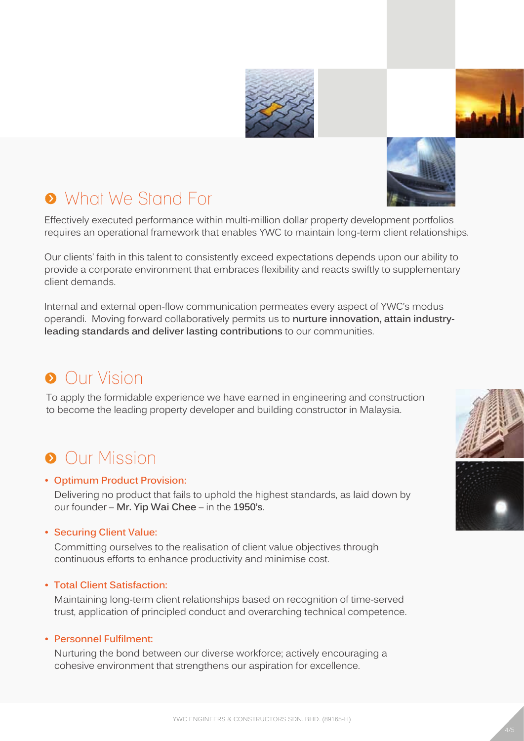





Effectively executed performance within multi-million dollar property development portfolios requires an operational framework that enables YWC to maintain long-term client relationships.

Our clients' faith in this talent to consistently exceed expectations depends upon our ability to provide a corporate environment that embraces flexibility and reacts swiftly to supplementary client demands.

Internal and external open-flow communication permeates every aspect of YWC's modus operandi. Moving forward collaboratively permits us to **nurture innovation, attain industryleading standards and deliver lasting contributions** to our communities.

## **Our Vision**

To apply the formidable experience we have earned in engineering and construction to become the leading property developer and building constructor in Malaysia.

## **Our Mission**

#### **• Optimum Product Provision:**

Delivering no product that fails to uphold the highest standards, as laid down by our founder – **Mr. Yip Wai Chee** – in the **1950's**.

#### **• Securing Client Value:**

Committing ourselves to the realisation of client value objectives through continuous efforts to enhance productivity and minimise cost.

#### **• Total Client Satisfaction:**

Maintaining long-term client relationships based on recognition of time-served trust, application of principled conduct and overarching technical competence.

#### **• Personnel Fulfilment:**

Nurturing the bond between our diverse workforce; actively encouraging a cohesive environment that strengthens our aspiration for excellence.



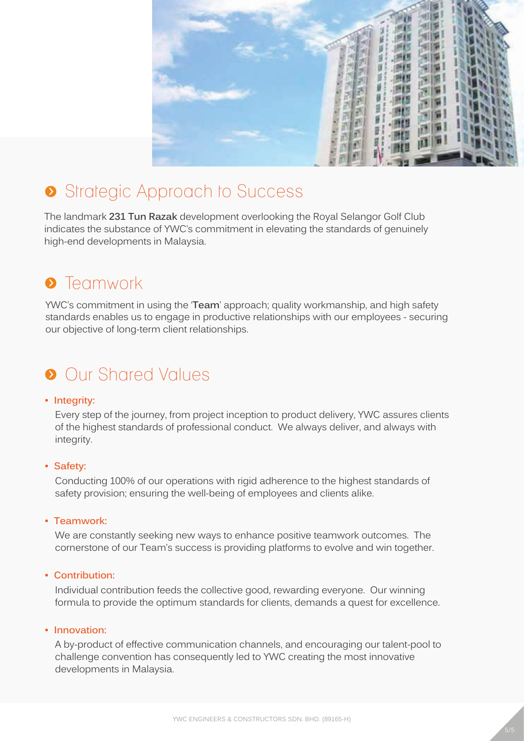

## Strategic Approach to Success

The landmark **231 Tun Razak** development overlooking the Royal Selangor Golf Club indicates the substance of YWC's commitment in elevating the standards of genuinely high-end developments in Malaysia.

## **•** Teamwork

YWC's commitment in using the '**Team**' approach; quality workmanship, and high safety standards enables us to engage in productive relationships with our employees - securing our objective of long-term client relationships.

## **Our Shared Values**

#### **• Integrity:**

Every step of the journey, from project inception to product delivery, YWC assures clients of the highest standards of professional conduct. We always deliver, and always with integrity.

#### **• Safety:**

Conducting 100% of our operations with rigid adherence to the highest standards of safety provision; ensuring the well-being of employees and clients alike.

**• Teamwork:**

We are constantly seeking new ways to enhance positive teamwork outcomes. The cornerstone of our Team's success is providing platforms to evolve and win together.

#### **• Contribution:**

Individual contribution feeds the collective good, rewarding everyone. Our winning formula to provide the optimum standards for clients, demands a quest for excellence.

#### **• Innovation:**

A by-product of effective communication channels, and encouraging our talent-pool to challenge convention has consequently led to YWC creating the most innovative developments in Malaysia.